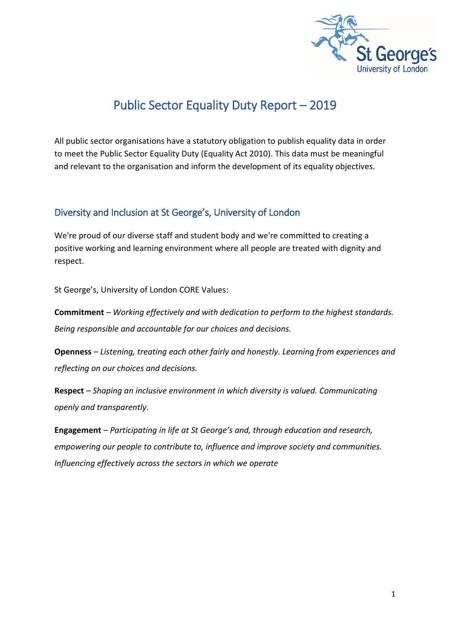

# Public Sector Equality Duty Report – 2019

All public sector organisations have a statutory obligation to publish equality data in order to meet the Public Sector Equality Duty (Equality Act 2010). This data must be meaningful and relevant to the organisation and inform the development of its equality objectives.

#### Diversity and Inclusion at St George's, University of London

We're proud of our diverse staff and student body and we're committed to creating a positive working and learning environment where all people are treated with dignity and respect.

St George's, University of London CORE Values:

**Commitment** *– Working effectively and with dedication to perform to the highest standards. Being responsible and accountable for our choices and decisions.*

**Openness** *– Listening, treating each other fairly and honestly. Learning from experiences and reflecting on our choices and decisions.*

**Respect** *– Shaping an inclusive environment in which diversity is valued. Communicating openly and transparently.*

**Engagement** *– Participating in life at St George's and, through education and research, empowering our people to contribute to, influence and improve society and communities. Influencing effectively across the sectors in which we operate*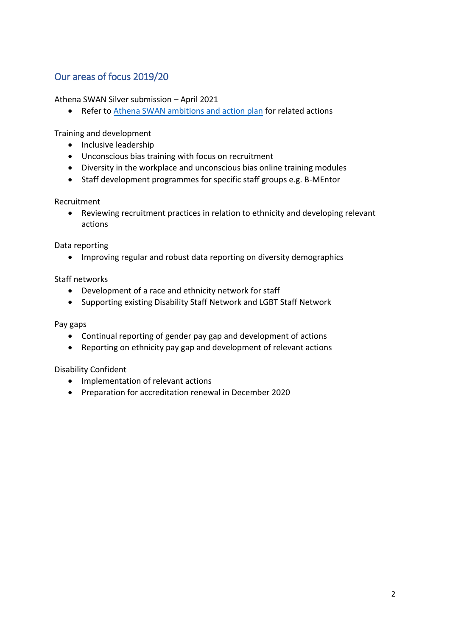#### Our areas of focus 2019/20

#### Athena SWAN Silver submission – April 2021

• Refer to [Athena SWAN ambitions and action plan](https://www.sgul.ac.uk/about/who-we-are/athena-swan/our-ambitions-and-action-plan) for related actions

Training and development

- Inclusive leadership
- Unconscious bias training with focus on recruitment
- Diversity in the workplace and unconscious bias online training modules
- Staff development programmes for specific staff groups e.g. B-MEntor

Recruitment

 Reviewing recruitment practices in relation to ethnicity and developing relevant actions

Data reporting

• Improving regular and robust data reporting on diversity demographics

Staff networks

- Development of a race and ethnicity network for staff
- Supporting existing Disability Staff Network and LGBT Staff Network

Pay gaps

- Continual reporting of gender pay gap and development of actions
- Reporting on ethnicity pay gap and development of relevant actions

Disability Confident

- Implementation of relevant actions
- Preparation for accreditation renewal in December 2020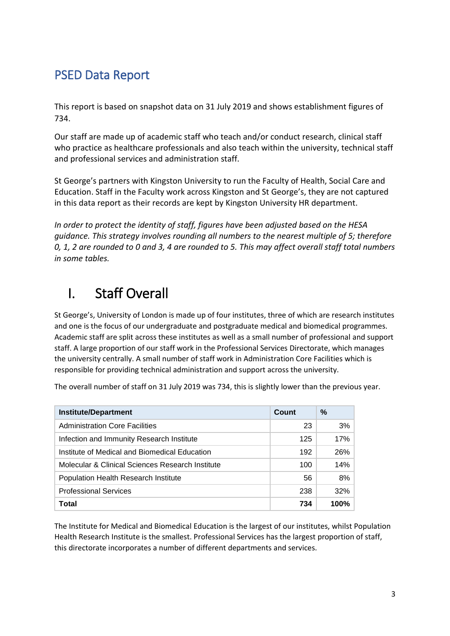# PSED Data Report

This report is based on snapshot data on 31 July 2019 and shows establishment figures of 734.

Our staff are made up of academic staff who teach and/or conduct research, clinical staff who practice as healthcare professionals and also teach within the university, technical staff and professional services and administration staff.

St George's partners with Kingston University to run the Faculty of Health, Social Care and Education. Staff in the Faculty work across Kingston and St George's, they are not captured in this data report as their records are kept by Kingston University HR department.

*In order to protect the identity of staff, figures have been adjusted based on the HESA guidance. This strategy involves rounding all numbers to the nearest multiple of 5; therefore 0, 1, 2 are rounded to 0 and 3, 4 are rounded to 5. This may affect overall staff total numbers in some tables.*

# I. Staff Overall

St George's, University of London is made up of four institutes, three of which are research institutes and one is the focus of our undergraduate and postgraduate medical and biomedical programmes. Academic staff are split across these institutes as well as a small number of professional and support staff. A large proportion of our staff work in the Professional Services Directorate, which manages the university centrally. A small number of staff work in Administration Core Facilities which is responsible for providing technical administration and support across the university.

The overall number of staff on 31 July 2019 was 734, this is slightly lower than the previous year.

| <b>Institute/Department</b>                      | Count | %      |
|--------------------------------------------------|-------|--------|
| <b>Administration Core Facilities</b>            | 23    | 3%     |
| Infection and Immunity Research Institute        | 125   | 17%    |
| Institute of Medical and Biomedical Education    | 192   | 26%    |
| Molecular & Clinical Sciences Research Institute | 100   | 14%    |
| Population Health Research Institute             | 56    | $8\%$  |
| <b>Professional Services</b>                     | 238   | $32\%$ |
| Total                                            | 734   | 100%   |

The Institute for Medical and Biomedical Education is the largest of our institutes, whilst Population Health Research Institute is the smallest. Professional Services has the largest proportion of staff, this directorate incorporates a number of different departments and services.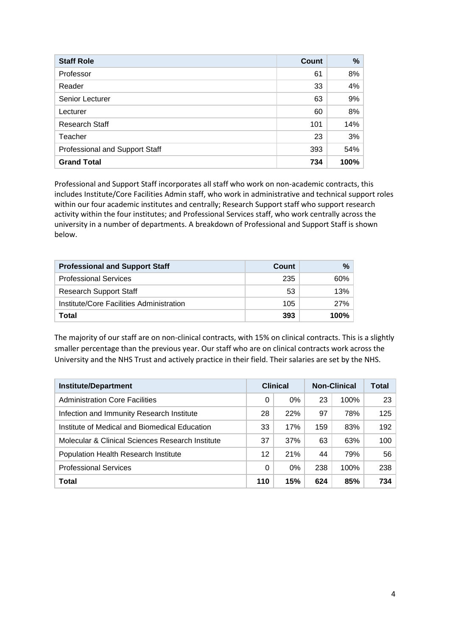| <b>Staff Role</b>              | <b>Count</b> | %    |
|--------------------------------|--------------|------|
| Professor                      | 61           | 8%   |
| Reader                         | 33           | 4%   |
| Senior Lecturer                | 63           | 9%   |
| Lecturer                       | 60           | 8%   |
| Research Staff                 | 101          | 14%  |
| Teacher                        | 23           | 3%   |
| Professional and Support Staff | 393          | 54%  |
| <b>Grand Total</b>             | 734          | 100% |

Professional and Support Staff incorporates all staff who work on non-academic contracts, this includes Institute/Core Facilities Admin staff, who work in administrative and technical support roles within our four academic institutes and centrally; Research Support staff who support research activity within the four institutes; and Professional Services staff, who work centrally across the university in a number of departments. A breakdown of Professional and Support Staff is shown below.

| <b>Professional and Support Staff</b>    | Count | $\frac{9}{6}$ |
|------------------------------------------|-------|---------------|
| <b>Professional Services</b>             | 235   | $60\%$        |
| <b>Research Support Staff</b>            | 53    | 13%           |
| Institute/Core Facilities Administration | 105   | <b>27%</b>    |
| Total                                    | 393   | $100\%$       |

The majority of our staff are on non-clinical contracts, with 15% on clinical contracts. This is a slightly smaller percentage than the previous year. Our staff who are on clinical contracts work across the University and the NHS Trust and actively practice in their field. Their salaries are set by the NHS.

| <b>Institute/Department</b>                      | <b>Clinical</b> |     | <b>Non-Clinical</b> | Total |     |
|--------------------------------------------------|-----------------|-----|---------------------|-------|-----|
| <b>Administration Core Facilities</b>            | 0               | 0%  | 23                  | 100%  | 23  |
| Infection and Immunity Research Institute        | 28              | 22% | 97                  | 78%   | 125 |
| Institute of Medical and Biomedical Education    | 33              | 17% | 159                 | 83%   | 192 |
| Molecular & Clinical Sciences Research Institute | 37              | 37% | 63                  | 63%   | 100 |
| Population Health Research Institute             | 12              | 21% | 44                  | 79%   | 56  |
| <b>Professional Services</b>                     | 0               | 0%  | 238                 | 100%  | 238 |
| Total                                            | 110             | 15% | 624                 | 85%   | 734 |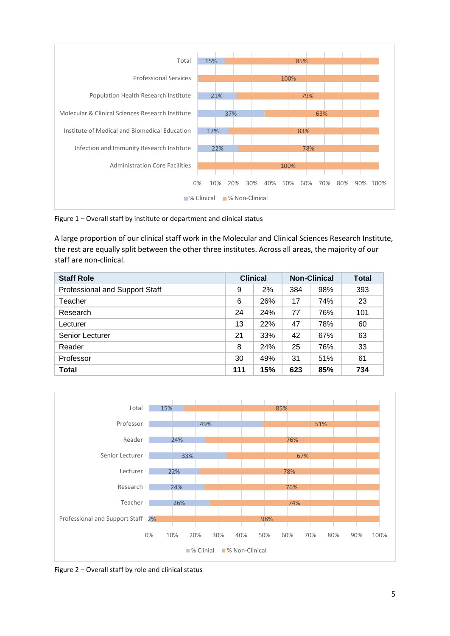

Figure 1 – Overall staff by institute or department and clinical status

A large proportion of our clinical staff work in the Molecular and Clinical Sciences Research Institute, the rest are equally split between the other three institutes. Across all areas, the majority of our staff are non-clinical.

| <b>Staff Role</b>              | <b>Clinical</b> |     | <b>Non-Clinical</b> |     | Total |
|--------------------------------|-----------------|-----|---------------------|-----|-------|
| Professional and Support Staff | 9               | 2%  | 384                 | 98% | 393   |
| Teacher                        | 6               | 26% | 17                  | 74% | 23    |
| Research                       | 24              | 24% | 77                  | 76% | 101   |
| Lecturer                       | 13              | 22% | 47                  | 78% | 60    |
| Senior Lecturer                | 21              | 33% | 42                  | 67% | 63    |
| Reader                         | 8               | 24% | 25                  | 76% | 33    |
| Professor                      | 30              | 49% | 31                  | 51% | 61    |
| <b>Total</b>                   | 111             | 15% | 623                 | 85% | 734   |



Figure 2 – Overall staff by role and clinical status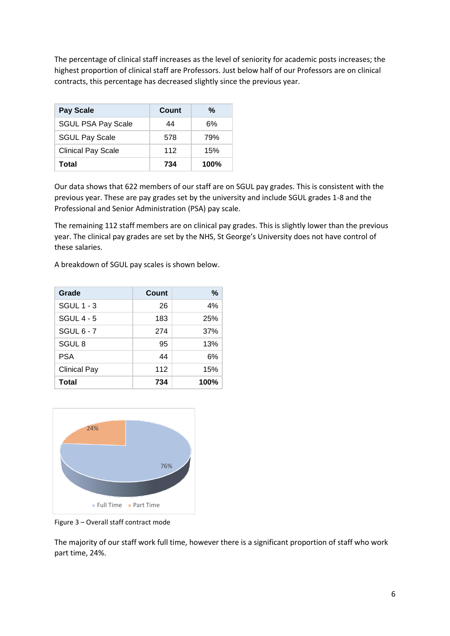The percentage of clinical staff increases as the level of seniority for academic posts increases; the highest proportion of clinical staff are Professors. Just below half of our Professors are on clinical contracts, this percentage has decreased slightly since the previous year.

| <b>Pay Scale</b>          | Count | %       |
|---------------------------|-------|---------|
| <b>SGUL PSA Pay Scale</b> | 44    | 6%      |
| <b>SGUL Pay Scale</b>     | 578   | 79%     |
| <b>Clinical Pay Scale</b> | 112   | 15%     |
| Total                     | 734   | $100\%$ |

Our data shows that 622 members of our staff are on SGUL pay grades. This is consistent with the previous year. These are pay grades set by the university and include SGUL grades 1-8 and the Professional and Senior Administration (PSA) pay scale.

The remaining 112 staff members are on clinical pay grades. This is slightly lower than the previous year. The clinical pay grades are set by the NHS, St George's University does not have control of these salaries.

A breakdown of SGUL pay scales is shown below.

| Grade               | Count | ℅    |
|---------------------|-------|------|
| <b>SGUL 1 - 3</b>   | 26    | 4%   |
| <b>SGUL 4 - 5</b>   | 183   | 25%  |
| <b>SGUL 6 - 7</b>   | 274   | 37%  |
| SGUL <sub>8</sub>   | 95    | 13%  |
| <b>PSA</b>          | 44    | 6%   |
| <b>Clinical Pay</b> | 112   | 15%  |
| <b>Total</b>        | 734   | 100% |



Figure 3 – Overall staff contract mode

The majority of our staff work full time, however there is a significant proportion of staff who work part time, 24%.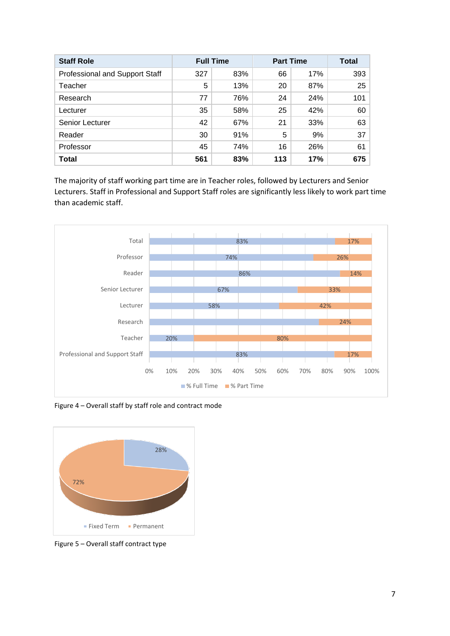| <b>Staff Role</b>                     | <b>Full Time</b> |     | <b>Part Time</b> | Total |     |
|---------------------------------------|------------------|-----|------------------|-------|-----|
| <b>Professional and Support Staff</b> | 327              | 83% | 66               | 17%   | 393 |
| Teacher                               | 5                | 13% | 20               | 87%   | 25  |
| Research                              | 77               | 76% | 24               | 24%   | 101 |
| Lecturer                              | 35               | 58% | 25               | 42%   | 60  |
| Senior Lecturer                       | 42               | 67% | 21               | 33%   | 63  |
| Reader                                | 30               | 91% | 5                | 9%    | 37  |
| Professor                             | 45               | 74% | 16               | 26%   | 61  |
| <b>Total</b>                          | 561              | 83% | 113              | 17%   | 675 |

The majority of staff working part time are in Teacher roles, followed by Lecturers and Senior Lecturers. Staff in Professional and Support Staff roles are significantly less likely to work part time than academic staff.



Figure 4 – Overall staff by staff role and contract mode



Figure 5 – Overall staff contract type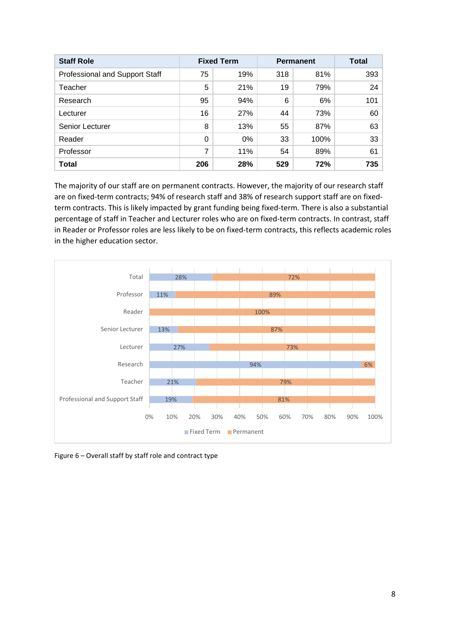| <b>Staff Role</b>              | <b>Fixed Term</b> |       | <b>Permanent</b> | <b>Total</b> |     |
|--------------------------------|-------------------|-------|------------------|--------------|-----|
| Professional and Support Staff | 75                | 19%   | 318              | 81%          | 393 |
| Teacher                        | 5                 | 21%   | 19               | 79%          | 24  |
| Research                       | 95                | 94%   | 6                | 6%           | 101 |
| Lecturer                       | 16                | 27%   | 44               | 73%          | 60  |
| Senior Lecturer                | 8                 | 13%   | 55               | 87%          | 63  |
| Reader                         | 0                 | $0\%$ | 33               | 100%         | 33  |
| Professor                      | 7                 | 11%   | 54               | 89%          | 61  |
| <b>Total</b>                   | 206               | 28%   | 529              | 72%          | 735 |

The majority of our staff are on permanent contracts. However, the majority of our research staff are on fixed-term contracts; 94% of research staff and 38% of research support staff are on fixedterm contracts. This is likely impacted by grant funding being fixed-term. There is also a substantial percentage of staff in Teacher and Lecturer roles who are on fixed-term contracts. In contrast, staff in Reader or Professor roles are less likely to be on fixed-term contracts, this reflects academic roles in the higher education sector.



Figure 6 – Overall staff by staff role and contract type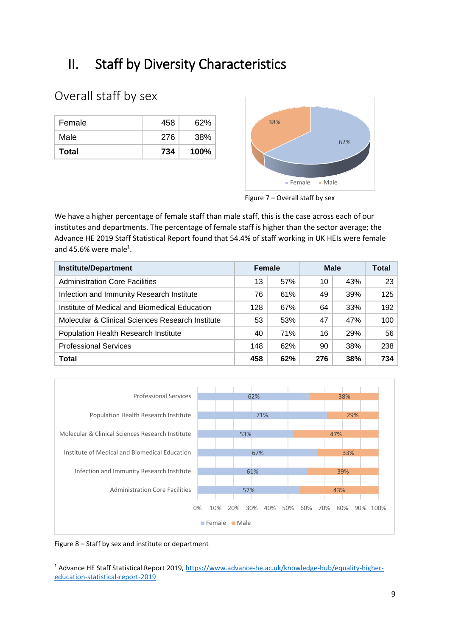# II. Staff by Diversity Characteristics

### Overall staff by sex

| Female       | 458 | 62%         |
|--------------|-----|-------------|
| Male         | 276 | 38%         |
| <b>Total</b> | 734 | <b>100%</b> |



Figure 7 – Overall staff by sex

We have a higher percentage of female staff than male staff, this is the case across each of our institutes and departments. The percentage of female staff is higher than the sector average; the Advance HE 2019 Staff Statistical Report found that 54.4% of staff working in UK HEIs were female and 45.6% were male<sup>1</sup>.

| <b>Institute/Department</b>                      | <b>Female</b> |     | <b>Male</b> |     | <b>Total</b> |
|--------------------------------------------------|---------------|-----|-------------|-----|--------------|
| <b>Administration Core Facilities</b>            | 13            | 57% | 10          | 43% | 23           |
| Infection and Immunity Research Institute        | 76            | 61% | 49          | 39% | 125          |
| Institute of Medical and Biomedical Education    | 128           | 67% | 64          | 33% | 192          |
| Molecular & Clinical Sciences Research Institute | 53            | 53% | 47          | 47% | 100          |
| Population Health Research Institute             | 40            | 71% | 16          | 29% | 56           |
| <b>Professional Services</b>                     | 148           | 62% | 90          | 38% | 238          |
| <b>Total</b>                                     | 458           | 62% | 276         | 38% | 734          |



Figure 8 – Staff by sex and institute or department

**.** 

<sup>&</sup>lt;sup>1</sup> Advance HE Staff Statistical Report 2019[, https://www.advance-he.ac.uk/knowledge-hub/equality-higher](https://www.advance-he.ac.uk/knowledge-hub/equality-higher-education-statistical-report-2019)[education-statistical-report-2019](https://www.advance-he.ac.uk/knowledge-hub/equality-higher-education-statistical-report-2019)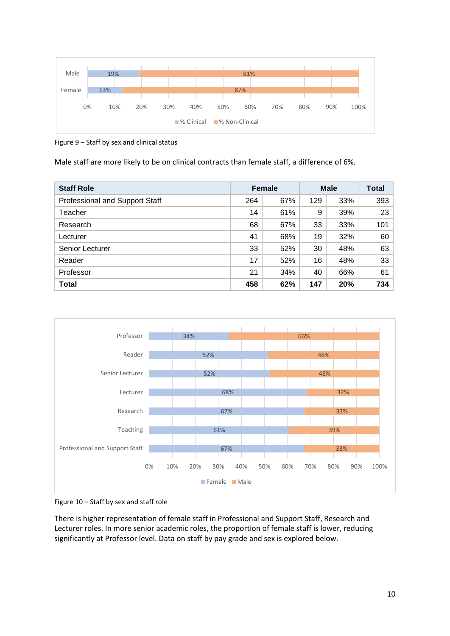

Figure 9 – Staff by sex and clinical status

Male staff are more likely to be on clinical contracts than female staff, a difference of 6%.

| <b>Staff Role</b>              | <b>Female</b> |     | <b>Male</b> | <b>Total</b> |     |
|--------------------------------|---------------|-----|-------------|--------------|-----|
| Professional and Support Staff | 264           | 67% | 129         | 33%          | 393 |
| Teacher                        | 14            | 61% | 9           | 39%          | 23  |
| Research                       | 68            | 67% | 33          | 33%          | 101 |
| Lecturer                       | 41            | 68% | 19          | 32%          | 60  |
| Senior Lecturer                | 33            | 52% | 30          | 48%          | 63  |
| Reader                         | 17            | 52% | 16          | 48%          | 33  |
| Professor                      | 21            | 34% | 40          | 66%          | 61  |
| Total                          | 458           | 62% | 147         | 20%          | 734 |



Figure 10 – Staff by sex and staff role

There is higher representation of female staff in Professional and Support Staff, Research and Lecturer roles. In more senior academic roles, the proportion of female staff is lower, reducing significantly at Professor level. Data on staff by pay grade and sex is explored below.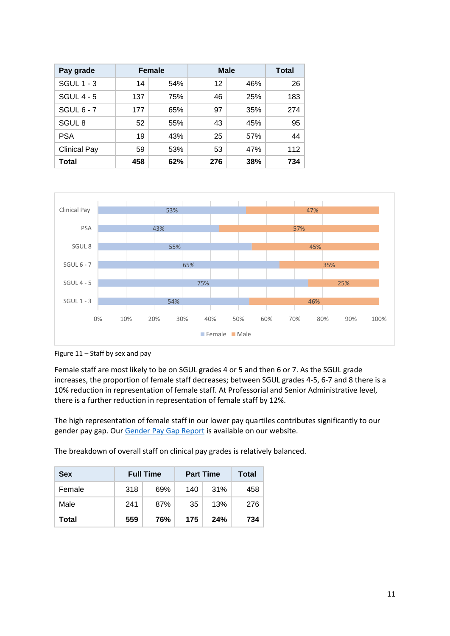| Pay grade           | Female |     | <b>Male</b> | Total |     |
|---------------------|--------|-----|-------------|-------|-----|
| <b>SGUL 1 - 3</b>   | 14     | 54% | 12          | 46%   | 26  |
| SGUL $4 - 5$        | 137    | 75% | 46          | 25%   | 183 |
| SGUL $6 - 7$        | 177    | 65% | 97          | 35%   | 274 |
| SGUL <sub>8</sub>   | 52     | 55% | 43          | 45%   | 95  |
| <b>PSA</b>          | 19     | 43% | 25          | 57%   | 44  |
| <b>Clinical Pay</b> | 59     | 53% | 53          | 47%   | 112 |
| Total               | 458    | 62% | 276         | 38%   | 734 |



Figure 11 – Staff by sex and pay

Female staff are most likely to be on SGUL grades 4 or 5 and then 6 or 7. As the SGUL grade increases, the proportion of female staff decreases; between SGUL grades 4-5, 6-7 and 8 there is a 10% reduction in representation of female staff. At Professorial and Senior Administrative level, there is a further reduction in representation of female staff by 12%.

The high representation of female staff in our lower pay quartiles contributes significantly to our gender pay gap. Our [Gender Pay Gap Report](https://www.sgul.ac.uk/about/our-professional-services/human-resources/equality-and-diversity/equal-pay-and-equal-gender) is available on our website.

The breakdown of overall staff on clinical pay grades is relatively balanced.

| <b>Sex</b> |     | <b>Full Time</b> |     | <b>Part Time</b> | Total |
|------------|-----|------------------|-----|------------------|-------|
| Female     | 318 | 69%              | 140 | 31%              | 458   |
| Male       | 241 | 87%              | 35  | 13%              | 276   |
| Total      | 559 | 76%              | 175 | 24%              | 734   |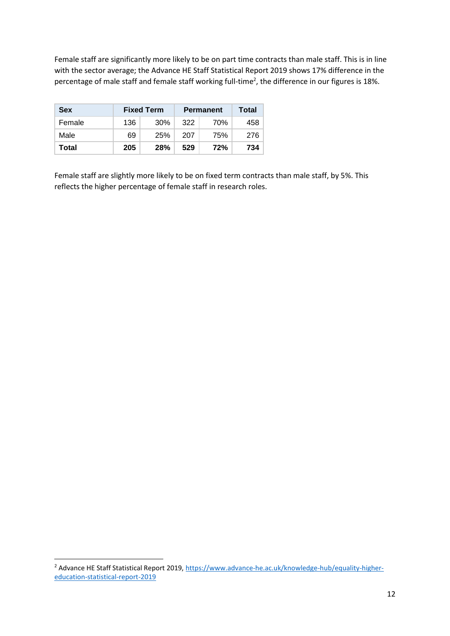Female staff are significantly more likely to be on part time contracts than male staff. This is in line with the sector average; the Advance HE Staff Statistical Report 2019 shows 17% difference in the percentage of male staff and female staff working full-time<sup>2</sup>, the difference in our figures is 18%.

| <b>Sex</b> |     | <b>Fixed Term</b> | <b>Permanent</b> | Total |     |
|------------|-----|-------------------|------------------|-------|-----|
| Female     | 136 | 30%               | 322              | 70%   | 458 |
| Male       | 69  | 25%               | 207              | 75%   | 276 |
| Total      | 205 | <b>28%</b><br>529 |                  | 72%   | 734 |

Female staff are slightly more likely to be on fixed term contracts than male staff, by 5%. This reflects the higher percentage of female staff in research roles.

**.** 

<sup>&</sup>lt;sup>2</sup> Advance HE Staff Statistical Report 2019[, https://www.advance-he.ac.uk/knowledge-hub/equality-higher](https://www.advance-he.ac.uk/knowledge-hub/equality-higher-education-statistical-report-2019)[education-statistical-report-2019](https://www.advance-he.ac.uk/knowledge-hub/equality-higher-education-statistical-report-2019)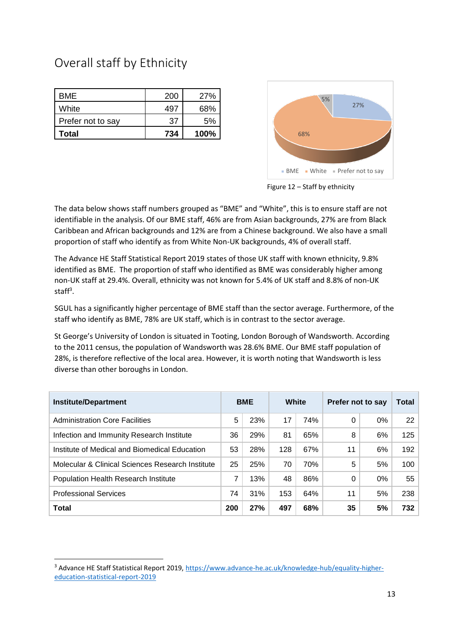## Overall staff by Ethnicity

**.** 

| <b>BME</b>        | 200 | 27%  |
|-------------------|-----|------|
| White             | 497 | 68%  |
| Prefer not to say | 37  | 5%   |
| Total             | 734 | 100% |



Figure 12 – Staff by ethnicity

The data below shows staff numbers grouped as "BME" and "White", this is to ensure staff are not identifiable in the analysis. Of our BME staff, 46% are from Asian backgrounds, 27% are from Black Caribbean and African backgrounds and 12% are from a Chinese background. We also have a small proportion of staff who identify as from White Non-UK backgrounds, 4% of overall staff.

The Advance HE Staff Statistical Report 2019 states of those UK staff with known ethnicity, 9.8% identified as BME. The proportion of staff who identified as BME was considerably higher among non-UK staff at 29.4%. Overall, ethnicity was not known for 5.4% of UK staff and 8.8% of non-UK staff<sup>3</sup>.

SGUL has a significantly higher percentage of BME staff than the sector average. Furthermore, of the staff who identify as BME, 78% are UK staff, which is in contrast to the sector average.

St George's University of London is situated in Tooting, London Borough of Wandsworth. According to the 2011 census, the population of Wandsworth was 28.6% BME. Our BME staff population of 28%, is therefore reflective of the local area. However, it is worth noting that Wandsworth is less diverse than other boroughs in London.

| <b>Institute/Department</b>                      |     | <b>BME</b> | White |     | Prefer not to say |       | Total |
|--------------------------------------------------|-----|------------|-------|-----|-------------------|-------|-------|
| <b>Administration Core Facilities</b>            | 5   | 23%        | 17    | 74% | 0                 | $0\%$ | 22    |
| Infection and Immunity Research Institute        | 36  | 29%        | 81    | 65% | 8                 | 6%    | 125   |
| Institute of Medical and Biomedical Education    | 53  | 28%        | 128   | 67% | 11                | 6%    | 192   |
| Molecular & Clinical Sciences Research Institute | 25  | 25%        | 70    | 70% | 5                 | 5%    | 100   |
| Population Health Research Institute             | 7   | 13%        | 48    | 86% | 0                 | $0\%$ | 55    |
| <b>Professional Services</b>                     | 74  | 31%        | 153   | 64% | 11                | 5%    | 238   |
| <b>Total</b>                                     | 200 | 27%        | 497   | 68% | 35                | 5%    | 732   |

<sup>3</sup> Advance HE Staff Statistical Report 2019[, https://www.advance-he.ac.uk/knowledge-hub/equality-higher](https://www.advance-he.ac.uk/knowledge-hub/equality-higher-education-statistical-report-2019)[education-statistical-report-2019](https://www.advance-he.ac.uk/knowledge-hub/equality-higher-education-statistical-report-2019)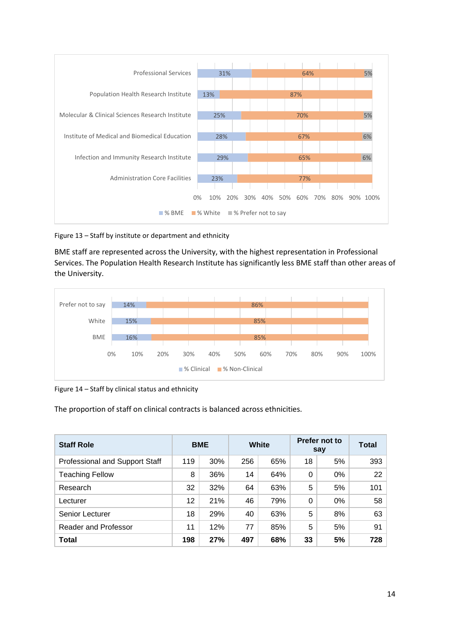

Figure 13 – Staff by institute or department and ethnicity

BME staff are represented across the University, with the highest representation in Professional Services. The Population Health Research Institute has significantly less BME staff than other areas of the University.



Figure 14 – Staff by clinical status and ethnicity

The proportion of staff on clinical contracts is balanced across ethnicities.

| <b>Staff Role</b>                     | <b>BME</b> |     | White |     |    |       | Prefer not to<br>say | <b>Total</b> |
|---------------------------------------|------------|-----|-------|-----|----|-------|----------------------|--------------|
| <b>Professional and Support Staff</b> | 119        | 30% | 256   | 65% | 18 | 5%    | 393                  |              |
| <b>Teaching Fellow</b>                | 8          | 36% | 14    | 64% | 0  | $0\%$ | 22                   |              |
| Research                              | 32         | 32% | 64    | 63% | 5  | 5%    | 101                  |              |
| Lecturer                              | 12         | 21% | 46    | 79% | 0  | $0\%$ | 58                   |              |
| Senior Lecturer                       | 18         | 29% | 40    | 63% | 5  | 8%    | 63                   |              |
| <b>Reader and Professor</b>           | 11         | 12% | 77    | 85% | 5  | 5%    | 91                   |              |
| <b>Total</b>                          | 198        | 27% | 497   | 68% | 33 | 5%    | 728                  |              |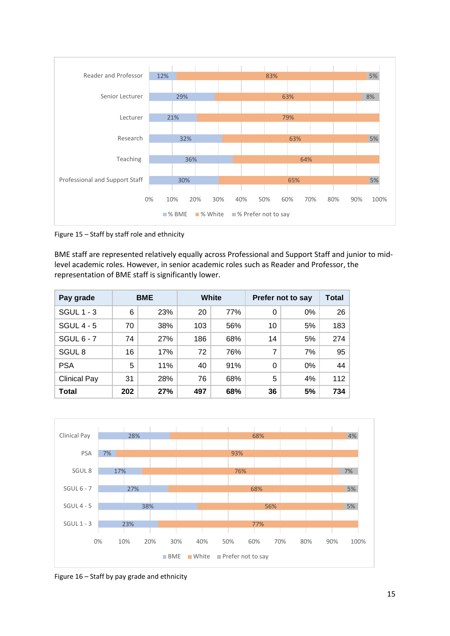

Figure 15 – Staff by staff role and ethnicity

BME staff are represented relatively equally across Professional and Support Staff and junior to midlevel academic roles. However, in senior academic roles such as Reader and Professor, the representation of BME staff is significantly lower.

| Pay grade           |     | <b>BME</b> |     | White<br>Prefer not to say |          | Total |     |
|---------------------|-----|------------|-----|----------------------------|----------|-------|-----|
| <b>SGUL 1 - 3</b>   | 6   | 23%        | 20  | 77%                        | 0        | 0%    | 26  |
| SGUL $4 - 5$        | 70  | 38%        | 103 | 56%                        | 10       | 5%    | 183 |
| SGUL $6 - 7$        | 74  | 27%        | 186 | 68%                        | 14       | 5%    | 274 |
| SGUL <sub>8</sub>   | 16  | 17%        | 72  | 76%                        | 7        | 7%    | 95  |
| <b>PSA</b>          | 5   | 11%        | 40  | 91%                        | $\Omega$ | 0%    | 44  |
| <b>Clinical Pay</b> | 31  | 28%        | 76  | 68%                        | 5        | 4%    | 112 |
| <b>Total</b>        | 202 | 27%        | 497 | 68%                        | 36       | 5%    | 734 |



Figure 16 – Staff by pay grade and ethnicity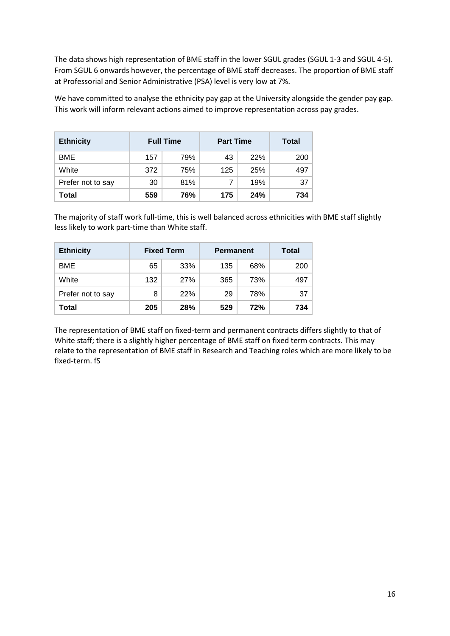The data shows high representation of BME staff in the lower SGUL grades (SGUL 1-3 and SGUL 4-5). From SGUL 6 onwards however, the percentage of BME staff decreases. The proportion of BME staff at Professorial and Senior Administrative (PSA) level is very low at 7%.

We have committed to analyse the ethnicity pay gap at the University alongside the gender pay gap. This work will inform relevant actions aimed to improve representation across pay grades.

| <b>Ethnicity</b>  | <b>Full Time</b> |     | <b>Part Time</b> | Total |     |
|-------------------|------------------|-----|------------------|-------|-----|
| <b>BME</b>        | 157              | 79% | 43               | 22%   | 200 |
| White             | 372              | 75% | 125              | 25%   | 497 |
| Prefer not to say | 30               | 81% |                  | 19%   | 37  |
| Total             | 559              | 76% | 175<br>24%       |       | 734 |

The majority of staff work full-time, this is well balanced across ethnicities with BME staff slightly less likely to work part-time than White staff.

| <b>Ethnicity</b>  | <b>Fixed Term</b> |     | <b>Permanent</b> | <b>Total</b> |     |
|-------------------|-------------------|-----|------------------|--------------|-----|
| <b>BME</b>        | 65                | 33% | 135              | 68%          | 200 |
| White             | 132               | 27% | 365              | 73%          | 497 |
| Prefer not to say | 8                 | 22% | 29<br>78%        |              | 37  |
| Total             | 205               | 28% | 72%<br>529       |              | 734 |

The representation of BME staff on fixed-term and permanent contracts differs slightly to that of White staff; there is a slightly higher percentage of BME staff on fixed term contracts. This may relate to the representation of BME staff in Research and Teaching roles which are more likely to be fixed-term. fS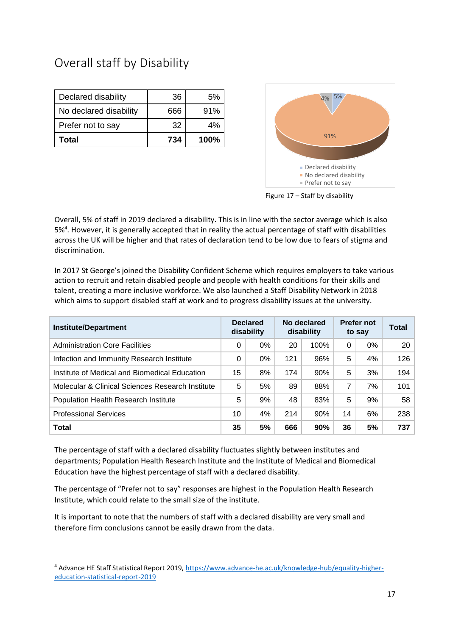## Overall staff by Disability

| Declared disability    | 36  | 5%   |
|------------------------|-----|------|
| No declared disability | 666 | 91%  |
| Prefer not to say      | 32  | 4%   |
| Total                  | 734 | 100% |



Figure 17 – Staff by disability

Overall, 5% of staff in 2019 declared a disability. This is in line with the sector average which is also 5%<sup>4</sup>. However, it is generally accepted that in reality the actual percentage of staff with disabilities across the UK will be higher and that rates of declaration tend to be low due to fears of stigma and discrimination.

In 2017 St George's joined the Disability Confident Scheme which requires employers to take various action to recruit and retain disabled people and people with health conditions for their skills and talent, creating a more inclusive workforce. We also launched a Staff Disability Network in 2018 which aims to support disabled staff at work and to progress disability issues at the university.

| <b>Institute/Department</b>                      |    | <b>Declared</b><br>disability |     | No declared<br>disability |    | <b>Prefer not</b><br>to say | <b>Total</b> |
|--------------------------------------------------|----|-------------------------------|-----|---------------------------|----|-----------------------------|--------------|
| <b>Administration Core Facilities</b>            | 0  | $0\%$                         | 20  | 100%                      | 0  | 0%                          | 20           |
| Infection and Immunity Research Institute        | 0  | $0\%$                         | 121 | 96%                       | 5  | 4%                          | 126          |
| Institute of Medical and Biomedical Education    | 15 | 8%                            | 174 | 90%                       | 5  | 3%                          | 194          |
| Molecular & Clinical Sciences Research Institute | 5  | 5%                            | 89  | 88%                       | 7  | 7%                          | 101          |
| Population Health Research Institute             | 5  | 9%                            | 48  | 83%                       | 5  | 9%                          | 58           |
| <b>Professional Services</b>                     | 10 | 4%                            | 214 | 90%                       | 14 | 6%                          | 238          |
| <b>Total</b>                                     | 35 | 5%                            | 666 | 90%                       | 36 | 5%                          | 737          |

The percentage of staff with a declared disability fluctuates slightly between institutes and departments; Population Health Research Institute and the Institute of Medical and Biomedical Education have the highest percentage of staff with a declared disability.

The percentage of "Prefer not to say" responses are highest in the Population Health Research Institute, which could relate to the small size of the institute.

It is important to note that the numbers of staff with a declared disability are very small and therefore firm conclusions cannot be easily drawn from the data.

**.** 

<sup>4</sup> Advance HE Staff Statistical Report 2019[, https://www.advance-he.ac.uk/knowledge-hub/equality-higher](https://www.advance-he.ac.uk/knowledge-hub/equality-higher-education-statistical-report-2019)[education-statistical-report-2019](https://www.advance-he.ac.uk/knowledge-hub/equality-higher-education-statistical-report-2019)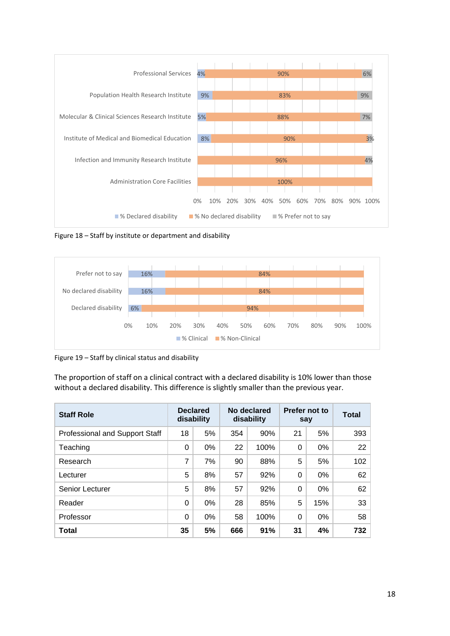

Figure 18 – Staff by institute or department and disability



Figure 19 – Staff by clinical status and disability

The proportion of staff on a clinical contract with a declared disability is 10% lower than those without a declared disability. This difference is slightly smaller than the previous year.

| <b>Staff Role</b>                     |          | <b>Declared</b><br>disability |     | No declared<br>disability |          |       |     | Prefer not to<br>say | <b>Total</b> |
|---------------------------------------|----------|-------------------------------|-----|---------------------------|----------|-------|-----|----------------------|--------------|
| <b>Professional and Support Staff</b> | 18       | 5%                            | 354 | 90%                       | 21       | 5%    | 393 |                      |              |
| Teaching                              | 0        | $0\%$                         | 22  | 100%                      | 0        | 0%    | 22  |                      |              |
| Research                              | 7        | 7%                            | 90  | 88%                       | 5        | 5%    | 102 |                      |              |
| Lecturer                              | 5        | 8%                            | 57  | 92%                       | $\Omega$ | $0\%$ | 62  |                      |              |
| Senior Lecturer                       | 5        | 8%                            | 57  | 92%                       | 0        | 0%    | 62  |                      |              |
| Reader                                | $\Omega$ | $0\%$                         | 28  | 85%                       | 5        | 15%   | 33  |                      |              |
| Professor                             | $\Omega$ | $0\%$                         | 58  | 100%                      | 0        | 0%    | 58  |                      |              |
| Total                                 | 35       | 5%                            | 666 | 91%                       | 31       | 4%    | 732 |                      |              |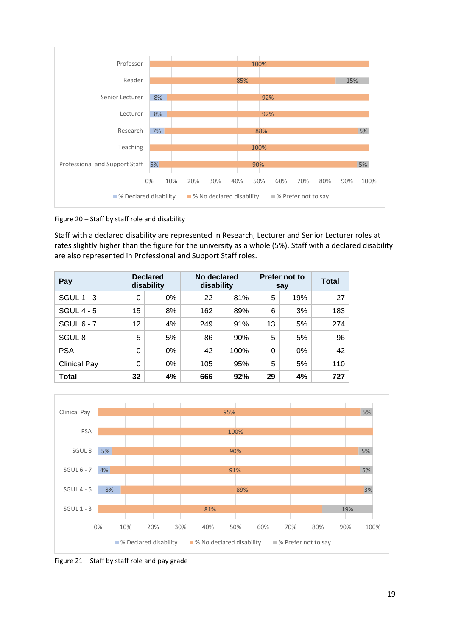

Figure 20 – Staff by staff role and disability

Staff with a declared disability are represented in Research, Lecturer and Senior Lecturer roles at rates slightly higher than the figure for the university as a whole (5%). Staff with a declared disability are also represented in Professional and Support Staff roles.

| Pay                 | <b>Declared</b><br>disability |    |     | No declared<br>disability | Prefer not to<br>say | <b>Total</b> |     |
|---------------------|-------------------------------|----|-----|---------------------------|----------------------|--------------|-----|
| <b>SGUL 1 - 3</b>   | 0                             | 0% | 22  | 81%                       | 5                    | 19%          | 27  |
| <b>SGUL 4 - 5</b>   | 15                            | 8% | 162 | 89%                       | 6                    | 3%           | 183 |
| SGUL $6 - 7$        | 12                            | 4% | 249 | 91%                       | 13                   | 5%           | 274 |
| SGUL <sub>8</sub>   | 5                             | 5% | 86  | 90%                       | 5                    | 5%           | 96  |
| <b>PSA</b>          | $\Omega$                      | 0% | 42  | 100%                      | $\Omega$             | 0%           | 42  |
| <b>Clinical Pay</b> | 0                             | 0% | 105 | 95%                       | 5                    | 5%           | 110 |
| Total               | 32                            | 4% | 666 | 92%                       | 29                   | 4%           | 727 |



Figure 21 – Staff by staff role and pay grade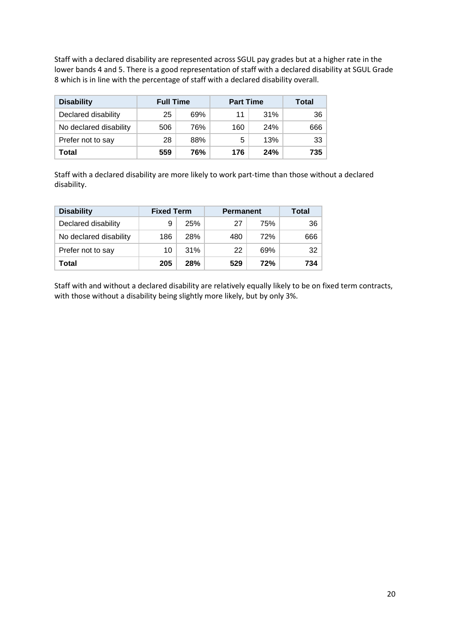Staff with a declared disability are represented across SGUL pay grades but at a higher rate in the lower bands 4 and 5. There is a good representation of staff with a declared disability at SGUL Grade 8 which is in line with the percentage of staff with a declared disability overall.

| <b>Disability</b>      | <b>Full Time</b> |     | <b>Part Time</b> | Total      |     |
|------------------------|------------------|-----|------------------|------------|-----|
| Declared disability    | 25               | 69% | 11               | 31%        | 36  |
| No declared disability | 506              | 76% | 160              | <b>24%</b> | 666 |
| Prefer not to say      | 28               | 88% | 5                | 13%        | 33  |
| Total                  | 559              | 76% | 176              | 24%        | 735 |

Staff with a declared disability are more likely to work part-time than those without a declared disability.

| <b>Disability</b>      | <b>Fixed Term</b> |            | <b>Permanent</b> | Total |     |
|------------------------|-------------------|------------|------------------|-------|-----|
| Declared disability    | 9                 | 25%        | 27               | 75%   | -36 |
| No declared disability | 186               | 28%        | 480              | 72%   | 666 |
| Prefer not to say      | 10                | 31%        | 22               | 69%   | -32 |
| Total                  | 205               | <b>28%</b> | 529              | 72%   | 734 |

Staff with and without a declared disability are relatively equally likely to be on fixed term contracts, with those without a disability being slightly more likely, but by only 3%.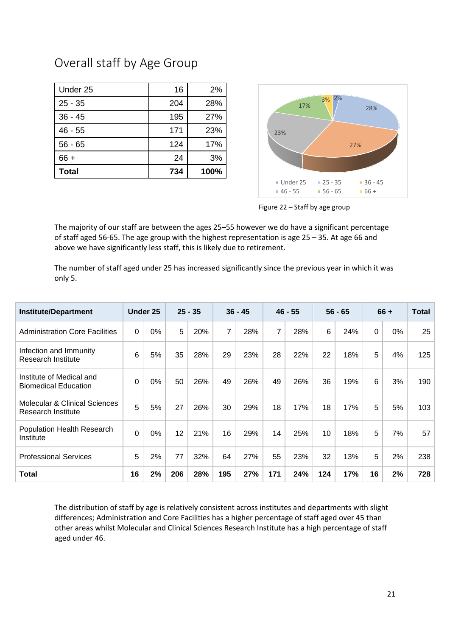### Overall staff by Age Group

| Under 25     | 16  | 2%   |
|--------------|-----|------|
| $25 - 35$    | 204 | 28%  |
| $36 - 45$    | 195 | 27%  |
| $46 - 55$    | 171 | 23%  |
| $56 - 65$    | 124 | 17%  |
| $66 +$       | 24  | 3%   |
| <b>Total</b> | 734 | 100% |



Figure 22 – Staff by age group

The majority of our staff are between the ages 25–55 however we do have a significant percentage of staff aged 56-65. The age group with the highest representation is age 25 – 35. At age 66 and above we have significantly less staff, this is likely due to retirement.

The number of staff aged under 25 has increased significantly since the previous year in which it was only 5.

| <b>Institute/Department</b>                                           |          | Under 25 |     | $25 - 35$ |     | $36 - 45$ |                | $46 - 55$ |     | $56 - 65$ |             | $66 +$ | Total |
|-----------------------------------------------------------------------|----------|----------|-----|-----------|-----|-----------|----------------|-----------|-----|-----------|-------------|--------|-------|
| <b>Administration Core Facilities</b>                                 | $\Omega$ | 0%       | 5   | 20%       | 7   | 28%       | $\overline{7}$ | 28%       | 6   | 24%       | $\mathbf 0$ | 0%     | 25    |
| Infection and Immunity<br>Research Institute                          | 6        | 5%       | 35  | 28%       | 29  | 23%       | 28             | 22%       | 22  | 18%       | 5           | 4%     | 125   |
| Institute of Medical and<br><b>Biomedical Education</b>               | $\Omega$ | 0%       | 50  | 26%       | 49  | 26%       | 49             | 26%       | 36  | 19%       | 6           | 3%     | 190   |
| <b>Molecular &amp; Clinical Sciences</b><br><b>Research Institute</b> | 5        | 5%       | 27  | 26%       | 30  | 29%       | 18             | 17%       | 18  | 17%       | 5           | 5%     | 103   |
| Population Health Research<br>Institute                               | $\Omega$ | 0%       | 12  | 21%       | 16  | 29%       | 14             | 25%       | 10  | 18%       | 5           | 7%     | 57    |
| <b>Professional Services</b>                                          | 5        | 2%       | 77  | 32%       | 64  | 27%       | 55             | 23%       | 32  | 13%       | 5           | 2%     | 238   |
| <b>Total</b>                                                          | 16       | 2%       | 206 | 28%       | 195 | 27%       | 171            | 24%       | 124 | 17%       | 16          | 2%     | 728   |

The distribution of staff by age is relatively consistent across institutes and departments with slight differences; Administration and Core Facilities has a higher percentage of staff aged over 45 than other areas whilst Molecular and Clinical Sciences Research Institute has a high percentage of staff aged under 46.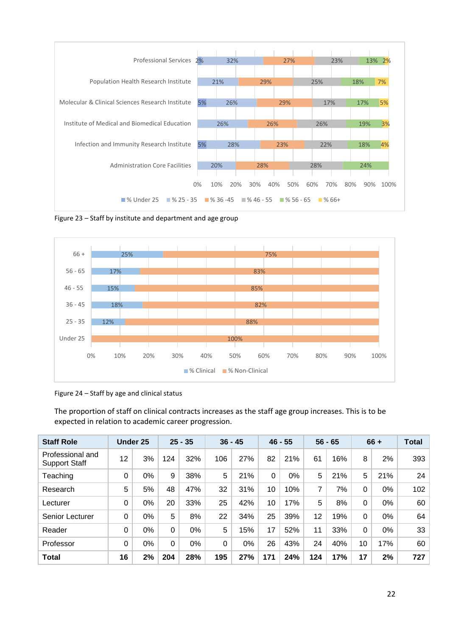

Figure 23 – Staff by institute and department and age group



Figure 24 – Staff by age and clinical status

The proportion of staff on clinical contracts increases as the staff age group increases. This is to be expected in relation to academic career progression.

| <b>Staff Role</b>                        |    | <b>Under 25</b> |          | $25 - 35$ | $36 - 45$ |     |          | $46 - 55$ |     | $56 - 65$ |          | $66 +$ | <b>Total</b> |
|------------------------------------------|----|-----------------|----------|-----------|-----------|-----|----------|-----------|-----|-----------|----------|--------|--------------|
| Professional and<br><b>Support Staff</b> | 12 | 3%              | 124      | 32%       | 106       | 27% | 82       | 21%       | 61  | 16%       | 8        | 2%     | 393          |
| Teaching                                 | 0  | 0%              | 9        | 38%       | 5         | 21% | $\Omega$ | 0%        | 5   | 21%       | 5        | 21%    | 24           |
| Research                                 | 5  | 5%              | 48       | 47%       | 32        | 31% | 10       | 10%       | 7   | 7%        | $\Omega$ | 0%     | 102          |
| Lecturer                                 | 0  | 0%              | 20       | 33%       | 25        | 42% | 10       | 17%       | 5   | 8%        | $\Omega$ | 0%     | 60           |
| Senior Lecturer                          | 0  | $0\%$           | 5        | 8%        | 22        | 34% | 25       | 39%       | 12  | 19%       | $\Omega$ | 0%     | 64           |
| Reader                                   | 0  | 0%              | 0        | 0%        | 5         | 15% | 17       | 52%       | 11  | 33%       | $\Omega$ | 0%     | 33           |
| Professor                                | 0  | 0%              | $\Omega$ | 0%        | $\Omega$  | 0%  | 26       | 43%       | 24  | 40%       | 10       | 17%    | 60           |
| <b>Total</b>                             | 16 | 2%              | 204      | 28%       | 195       | 27% | 171      | 24%       | 124 | 17%       | 17       | 2%     | 727          |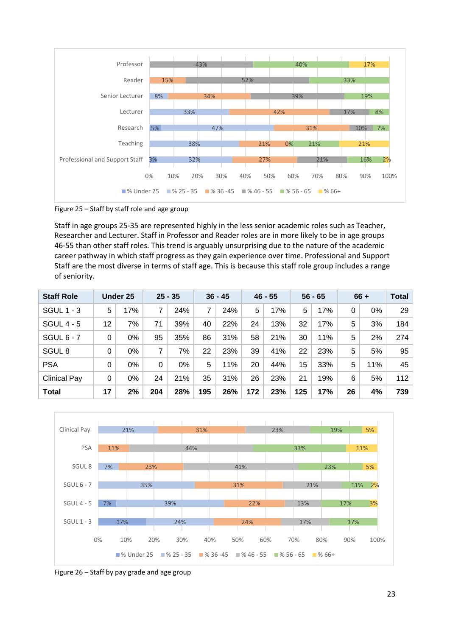

Figure 25 – Staff by staff role and age group

Staff in age groups 25-35 are represented highly in the less senior academic roles such as Teacher, Researcher and Lecturer. Staff in Professor and Reader roles are in more likely to be in age groups 46-55 than other staff roles. This trend is arguably unsurprising due to the nature of the academic career pathway in which staff progress as they gain experience over time. Professional and Support Staff are the most diverse in terms of staff age. This is because this staff role group includes a range of seniority.

| <b>Staff Role</b>   |    | Under 25 |     | $25 - 35$ |     | $36 - 45$ |     | $46 - 55$ |     | $56 - 65$ |    | $66 +$ | <b>Total</b> |
|---------------------|----|----------|-----|-----------|-----|-----------|-----|-----------|-----|-----------|----|--------|--------------|
| <b>SGUL 1 - 3</b>   | 5  | 17%      | 7   | 24%       | 7   | 24%       | 5   | 17%       | 5   | 17%       | 0  | 0%     | 29           |
| <b>SGUL 4 - 5</b>   | 12 | 7%       | 71  | 39%       | 40  | 22%       | 24  | 13%       | 32  | 17%       | 5  | 3%     | 184          |
| <b>SGUL 6 - 7</b>   | 0  | 0%       | 95  | 35%       | 86  | 31%       | 58  | 21%       | 30  | 11%       | 5  | 2%     | 274          |
| SGUL <sub>8</sub>   | 0  | 0%       | 7   | 7%        | 22  | 23%       | 39  | 41%       | 22  | 23%       | 5  | 5%     | 95           |
| <b>PSA</b>          | 0  | 0%       | 0   | 0%        | 5   | 11%       | 20  | 44%       | 15  | 33%       | 5  | 11%    | 45           |
| <b>Clinical Pay</b> | 0  | 0%       | 24  | 21%       | 35  | 31%       | 26  | 23%       | 21  | 19%       | 6  | 5%     | 112          |
| <b>Total</b>        | 17 | 2%       | 204 | 28%       | 195 | 26%       | 172 | 23%       | 125 | 17%       | 26 | 4%     | 739          |



Figure 26 – Staff by pay grade and age group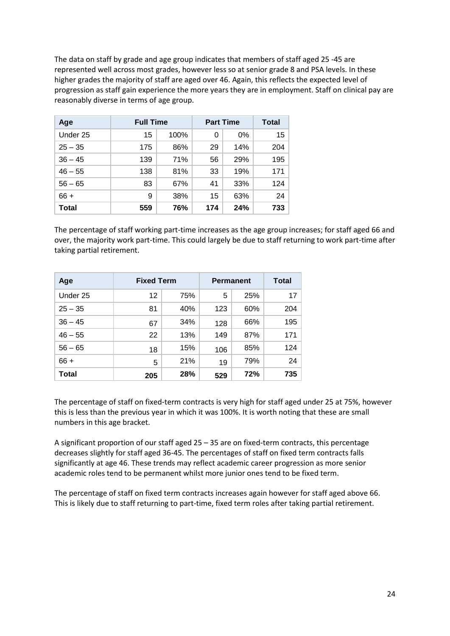The data on staff by grade and age group indicates that members of staff aged 25 -45 are represented well across most grades, however less so at senior grade 8 and PSA levels. In these higher grades the majority of staff are aged over 46. Again, this reflects the expected level of progression as staff gain experience the more years they are in employment. Staff on clinical pay are reasonably diverse in terms of age group.

| Age       | <b>Full Time</b> | <b>Part Time</b> | Total |     |     |
|-----------|------------------|------------------|-------|-----|-----|
| Under 25  | 15               | 100%             | 0     | 0%  | 15  |
| $25 - 35$ | 175              | 86%              | 29    | 14% | 204 |
| $36 - 45$ | 139              | 71%              | 56    | 29% | 195 |
| $46 - 55$ | 138              | 81%              | 33    | 19% | 171 |
| $56 - 65$ | 83               | 67%              | 41    | 33% | 124 |
| $66 +$    | 9                | 38%              | 15    | 63% | 24  |
| Total     | 559              | 76%              | 174   | 24% | 733 |

The percentage of staff working part-time increases as the age group increases; for staff aged 66 and over, the majority work part-time. This could largely be due to staff returning to work part-time after taking partial retirement.

| Age          | <b>Fixed Term</b> | <b>Permanent</b> | Total |     |     |
|--------------|-------------------|------------------|-------|-----|-----|
| Under 25     | 12                | 75%              | 5     | 25% | 17  |
| $25 - 35$    | 81                | 40%              | 123   | 60% | 204 |
| $36 - 45$    | 67                | 34%              | 128   | 66% | 195 |
| $46 - 55$    | 22                | 13%              | 149   | 87% | 171 |
| $56 - 65$    | 18                | 15%              | 106   | 85% | 124 |
| $66 +$       | 5                 | 21%              | 19    | 79% | 24  |
| <b>Total</b> | 205               | 28%              | 529   | 72% | 735 |

The percentage of staff on fixed-term contracts is very high for staff aged under 25 at 75%, however this is less than the previous year in which it was 100%. It is worth noting that these are small numbers in this age bracket.

A significant proportion of our staff aged 25 – 35 are on fixed-term contracts, this percentage decreases slightly for staff aged 36-45. The percentages of staff on fixed term contracts falls significantly at age 46. These trends may reflect academic career progression as more senior academic roles tend to be permanent whilst more junior ones tend to be fixed term.

The percentage of staff on fixed term contracts increases again however for staff aged above 66. This is likely due to staff returning to part-time, fixed term roles after taking partial retirement.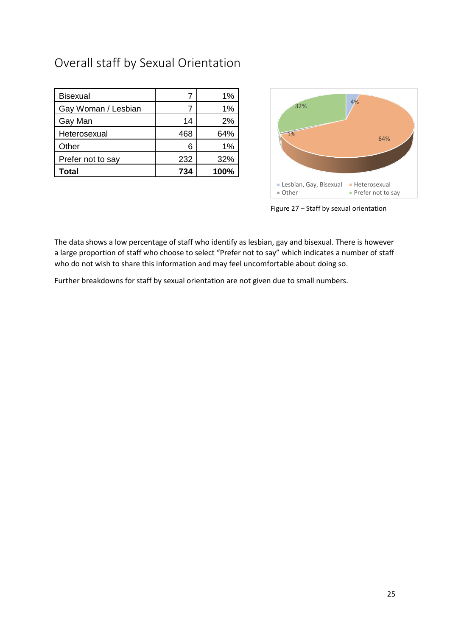# Overall staff by Sexual Orientation

| <b>Bisexual</b>     |     | $1\%$ |
|---------------------|-----|-------|
| Gay Woman / Lesbian |     | 1%    |
| Gay Man             | 14  | 2%    |
| Heterosexual        | 468 | 64%   |
| Other               | 6   | 1%    |
| Prefer not to say   | 232 | 32%   |
| Total               | 734 | 100%  |



Figure 27 – Staff by sexual orientation

The data shows a low percentage of staff who identify as lesbian, gay and bisexual. There is however a large proportion of staff who choose to select "Prefer not to say" which indicates a number of staff who do not wish to share this information and may feel uncomfortable about doing so.

Further breakdowns for staff by sexual orientation are not given due to small numbers.